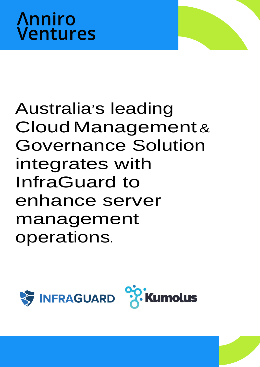

# Australia's leading CloudManagement& Governance Solution integrates with InfraGuard to enhance server management operations.

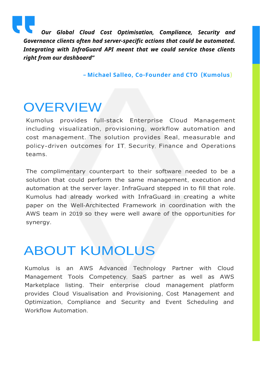

*Our Global Cloud Cost Optimisation, Compliance, Security and Governance clients often had server-specific actions that could be automated. Integrating with InfraGuard API meant that we could service those clients right from our dashboard"*

**– Michael Salleo, Co-Founder and CTO (Kumolus**)

#### **OVERVIEW**

Kumolus provides full-stack Enterprise Cloud Management including visualization, provisioning, workflow automation and cost management. The solution provides Real, measurable and policy-driven outcomes for IT, Security, Finance and Operations teams.

The complimentary counterpart to their software needed to be a solution that could perform the same management, execution and automation at the server layer. InfraGuard stepped in to fill that role. Kumolus had already worked with InfraGuard in creating a white paper on the Well-Architected Framework in coordination with the AWS team in 2019 so they were well aware of the opportunities for synergy.

## ABOUT KUMOLUS

Kumolus is an AWS Advanced Technology Partner with Cloud Management Tools Competency, SaaS partner as well as AWS Marketplace listing. Their enterprise cloud management platform provides Cloud Visualisation and Provisioning, Cost Management and Optimization, Compliance and Security and Event Scheduling and Workflow Automation.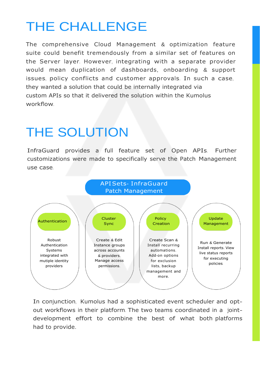## THE CHALLENGE

they wanted a solution that could be internally integrated via custom APIs so that it delivered the solution within the Kumolus workflow. The comprehensive Cloud Management & optimization feature suite could benefit tremendously from a similar set of features on the Server layer. However, integrating with a separate provider would mean duplication of dashboards, onboarding & support issues, policy conflicts and customer approvals. In such a case,

## THE SOLUTION

InfraGuard provides a full feature set of Open APIs. Further customizations were made to specifically serve the Patch Management use case.



In conjunction, Kumolus had <sup>a</sup> sophisticated event scheduler and optout workflows in their platform. The two teams coordinated in a jointdevelopment effort to combine the best of what both platforms had to provide.